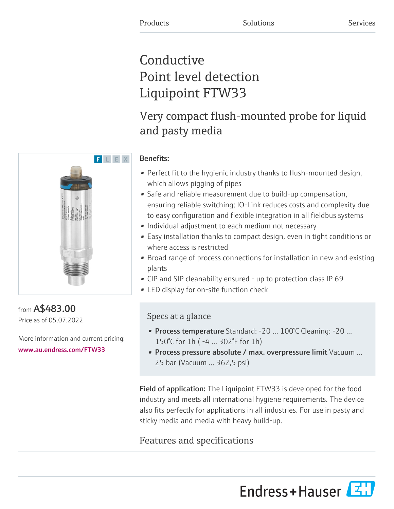## **Conductive** Point level detection Liquipoint FTW33

## Very compact flush-mounted probe for liquid and pasty media

# F L E X

#### Benefits:

- Perfect fit to the hygienic industry thanks to flush-mounted design, which allows pigging of pipes
- Safe and reliable measurement due to build-up compensation, ensuring reliable switching; IO-Link reduces costs and complexity due to easy configuration and flexible integration in all fieldbus systems
- Individual adjustment to each medium not necessary
- Easy installation thanks to compact design, even in tight conditions or where access is restricted
- Broad range of process connections for installation in new and existing plants
- CIP and SIP cleanability ensured up to protection class IP 69
- LED display for on-site function check

### Specs at a glance

- Process temperature Standard: -20 ... 100°C Cleaning: -20 ... 150°C for 1h ( -4 ... 302°F for 1h)
- Process pressure absolute / max. overpressure limit Vacuum ... 25 bar (Vacuum ... 362,5 psi)

Field of application: The Liquipoint FTW33 is developed for the food industry and meets all international hygiene requirements. The device also fits perfectly for applications in all industries. For use in pasty and sticky media and media with heavy build-up.

## Features and specifications

Endress+Hauser



from A\$483.00 Price as of 05.07.2022

More information and current pricing: [www.au.endress.com/FTW33](https://www.au.endress.com/FTW33)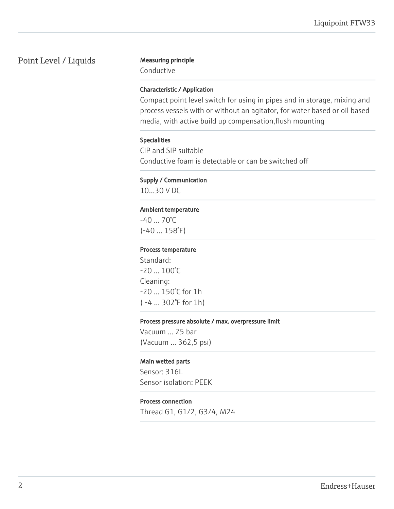#### Point Level / Liquids Measuring principle

Conductive

#### Characteristic / Application

Compact point level switch for using in pipes and in storage, mixing and process vessels with or without an agitator, for water based or oil based media, with active build up compensation,flush mounting

#### Specialities

CIP and SIP suitable Conductive foam is detectable or can be switched off

#### Supply / Communication

10…30 V DC

#### Ambient temperature

 $-40...70^{\circ}$ C (-40 ... 158°F)

#### Process temperature

Standard: -20 ... 100°C Cleaning: -20 ... 150°C for 1h ( -4 ... 302°F for 1h)

#### Process pressure absolute / max. overpressure limit

Vacuum ... 25 bar (Vacuum ... 362,5 psi)

#### Main wetted parts

Sensor: 316L Sensor isolation: PEEK

#### Process connection

Thread G1, G1/2, G3/4, M24